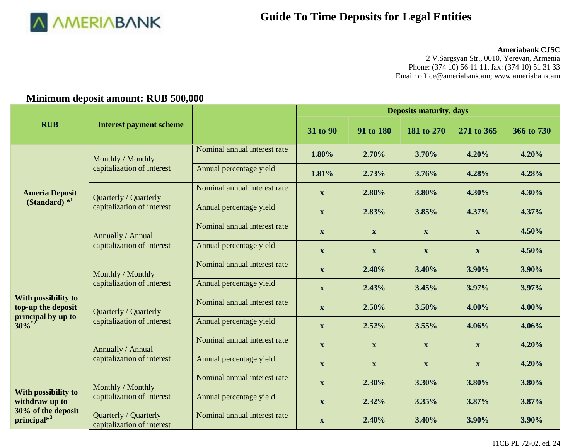

### **Ameriabank CJSC**

2 V.Sargsyan Str., 0010, Yerevan, Armenia Phone: (374 10) 56 11 11, fax: (374 10) 51 31 33 Email[: office@ameriabank.am;](mailto:office@ameriabank.am) www.ameriabank.am

## **Minimum deposit amount: RUB 500,000**

|                                                                             |                                                     |                              | <b>Deposits maturity, days</b> |              |                           |                           |            |  |
|-----------------------------------------------------------------------------|-----------------------------------------------------|------------------------------|--------------------------------|--------------|---------------------------|---------------------------|------------|--|
| <b>RUB</b>                                                                  | <b>Interest payment scheme</b>                      |                              | 31 to 90                       | 91 to 180    | 181 to 270                | 271 to 365                | 366 to 730 |  |
| <b>Ameria Deposit</b><br>$(Standard)*1$                                     | Monthly / Monthly<br>capitalization of interest     | Nominal annual interest rate | 1.80%                          | 2.70%        | 3.70%                     | 4.20%                     | 4.20%      |  |
|                                                                             |                                                     | Annual percentage yield      | 1.81%                          | 2.73%        | 3.76%                     | 4.28%                     | 4.28%      |  |
|                                                                             | Quarterly / Quarterly<br>capitalization of interest | Nominal annual interest rate | $\mathbf X$                    | 2.80%        | 3.80%                     | 4.30%                     | 4.30%      |  |
|                                                                             |                                                     | Annual percentage yield      | $\mathbf{X}$                   | 2.83%        | 3.85%                     | 4.37%                     | 4.37%      |  |
|                                                                             | Annually / Annual<br>capitalization of interest     | Nominal annual interest rate | $\mathbf X$                    | $\mathbf{X}$ | $\mathbf{X}$              | $\mathbf X$               | 4.50%      |  |
|                                                                             |                                                     | Annual percentage yield      | $\mathbf X$                    | $\mathbf{X}$ | $\mathbf{X}$              | $\mathbf X$               | 4.50%      |  |
|                                                                             | Monthly / Monthly<br>capitalization of interest     | Nominal annual interest rate | $\mathbf{X}$                   | 2.40%        | 3.40%                     | 3.90%                     | 3.90%      |  |
|                                                                             |                                                     | Annual percentage yield      | $\mathbf{X}$                   | 2.43%        | 3.45%                     | 3.97%                     | 3.97%      |  |
| With possibility to<br>top-up the deposit<br>principal by up to<br>$30\%$ * | Quarterly / Quarterly<br>capitalization of interest | Nominal annual interest rate | $\mathbf{X}$                   | 2.50%        | 3.50%                     | 4.00%                     | 4.00%      |  |
|                                                                             |                                                     | Annual percentage yield      | $\mathbf{X}$                   | 2.52%        | 3.55%                     | 4.06%                     | 4.06%      |  |
|                                                                             | Annually / Annual<br>capitalization of interest     | Nominal annual interest rate | $\mathbf X$                    | $\mathbf{X}$ | $\boldsymbol{\mathrm{X}}$ | $\mathbf{X}$              | 4.20%      |  |
|                                                                             |                                                     | Annual percentage yield      | $\mathbf X$                    | $\mathbf X$  | $\mathbf X$               | $\boldsymbol{\mathrm{X}}$ | 4.20%      |  |
| With possibility to                                                         | Monthly / Monthly<br>capitalization of interest     | Nominal annual interest rate | $\mathbf X$                    | 2.30%        | 3.30%                     | 3.80%                     | 3.80%      |  |
| withdraw up to<br>30% of the deposit<br>principal*3                         |                                                     | Annual percentage yield      | $\mathbf X$                    | 2.32%        | 3.35%                     | 3.87%                     | 3.87%      |  |
|                                                                             | Quarterly / Quarterly<br>capitalization of interest | Nominal annual interest rate | $\mathbf X$                    | 2.40%        | 3.40%                     | 3.90%                     | 3.90%      |  |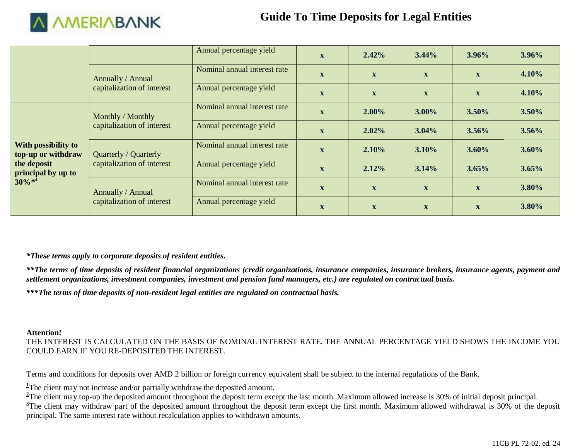

|                                                                                              |                                                     | Annual percentage yield      | $\mathbf{X}$ | 2.42%        | $3.44\%$     | $3.96\%$     | $3.96\%$ |
|----------------------------------------------------------------------------------------------|-----------------------------------------------------|------------------------------|--------------|--------------|--------------|--------------|----------|
|                                                                                              | Annually / Annual                                   | Nominal annual interest rate | $\mathbf{X}$ | $\mathbf{X}$ | $\mathbf{x}$ | $\mathbf{X}$ | 4.10%    |
|                                                                                              | capitalization of interest                          | Annual percentage yield      | $\mathbf{X}$ | $\mathbf{X}$ | $\mathbf{x}$ | $\mathbf{X}$ | 4.10%    |
| With possibility to<br>top-up or withdraw<br>the deposit<br>principal by up to<br>$30\% *^4$ | Monthly / Monthly<br>capitalization of interest     | Nominal annual interest rate | $\mathbf X$  | $2.00\%$     | $3.00\%$     | $3.50\%$     | $3.50\%$ |
|                                                                                              |                                                     | Annual percentage yield      | $\mathbf X$  | 2.02%        | $3.04\%$     | $3.56\%$     | 3.56%    |
|                                                                                              | Quarterly / Quarterly<br>capitalization of interest | Nominal annual interest rate | $\mathbf{X}$ | $2.10\%$     | $3.10\%$     | $3.60\%$     | 3.60%    |
|                                                                                              |                                                     | Annual percentage yield      | $\mathbf{X}$ | 2.12%        | 3.14%        | 3.65%        | 3.65%    |
|                                                                                              | Annually / Annual<br>capitalization of interest     | Nominal annual interest rate | $\mathbf{X}$ | $\mathbf{X}$ | $\mathbf{X}$ | $\mathbf{X}$ | 3.80%    |
|                                                                                              |                                                     | Annual percentage yield      | $\mathbf X$  | $\mathbf X$  | $\mathbf{X}$ | $\mathbf X$  | 3.80%    |

### *\*These terms apply to corporate deposits of resident entities.*

*\*\*The terms of time deposits of resident financial organizations (credit organizations, insurance companies, insurance brokers, insurance agents, payment and settlement organizations, investment companies, investment and pension fund managers, etc.) are regulated on contractual basis.*

*\*\*\*The terms of time deposits of non-resident legal entities are regulated on contractual basis.*

### **Attention!**

THE INTEREST IS CALCULATED ON THE BASIS OF NOMINAL INTEREST RATE. THE ANNUAL PERCENTAGE YIELD SHOWS THE INCOME YOU COULD EARN IF YOU RE-DEPOSITED THE INTEREST.

Terms and conditions for deposits over AMD 2 billion or foreign currency equivalent shall be subject to the internal regulations of the Bank.

<sup>1</sup>The client may not increase and/or partially withdraw the deposited amount.

<sup>2</sup>The client may top-up the deposited amount throughout the deposit term except the last month. Maximum allowed increase is 30% of initial deposit principal. <sup>3</sup>The client may withdraw part of the deposited amount throughout the deposit term except the first month. Maximum allowed withdrawal is 30% of the deposit principal. The same interest rate without recalculation applies to withdrawn amounts.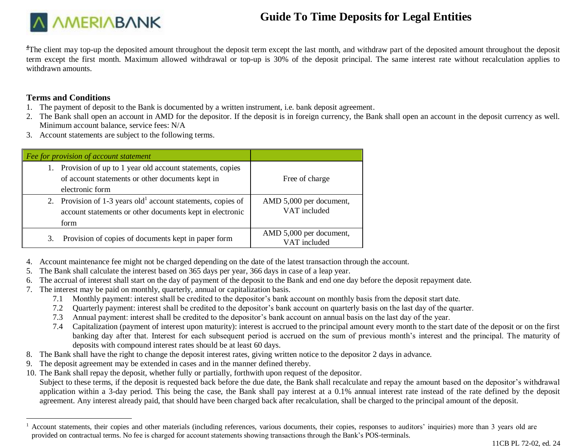

<sup>4</sup>The client may top-up the deposited amount throughout the deposit term except the last month, and withdraw part of the deposited amount throughout the deposited term except the first month. Maximum allowed withdrawal or top-up is 30% of the deposit principal. The same interest rate without recalculation applies to withdrawn amounts.

### **Terms and Conditions**

- 1. The payment of deposit to the Bank is documented by a written instrument, i.e. bank deposit agreement.
- 2. The Bank shall open an account in AMD for the depositor. If the deposit is in foreign currency, the Bank shall open an account in the deposit currency as well. Minimum account balance, service fees: N/A
- 3. Account statements are subject to the following terms.

|    | Fee for provision of account statement                                                                                                      |                                         |
|----|---------------------------------------------------------------------------------------------------------------------------------------------|-----------------------------------------|
| 1. | Provision of up to 1 year old account statements, copies<br>of account statements or other documents kept in<br>electronic form             | Free of charge                          |
| 2. | Provision of $1-3$ years old <sup>1</sup> account statements, copies of<br>account statements or other documents kept in electronic<br>form | AMD 5,000 per document,<br>VAT included |
| 3. | Provision of copies of documents kept in paper form                                                                                         | AMD 5,000 per document,<br>VAT included |

- 4. Account maintenance fee might not be charged depending on the date of the latest transaction through the account.
- 5. The Bank shall calculate the interest based on 365 days per year, 366 days in case of a leap year.
- 6. The accrual of interest shall start on the day of payment of the deposit to the Bank and end one day before the deposit repayment date.
- 7. The interest may be paid on monthly, quarterly, annual or capitalization basis.
	- 7.1 Monthly payment: interest shall be credited to the depositor's bank account on monthly basis from the deposit start date.
	- 7.2 Quarterly payment: interest shall be credited to the depositor's bank account on quarterly basis on the last day of the quarter.
	- 7.3 Annual payment: interest shall be credited to the depositor's bank account on annual basis on the last day of the year.
	- 7.4 Capitalization (payment of interest upon maturity): interest is accrued to the principal amount every month to the start date of the deposit or on the first banking day after that. Interest for each subsequent period is accrued on the sum of previous month's interest and the principal. The maturity of deposits with compound interest rates should be at least 60 days.
- 8. The Bank shall have the right to change the deposit interest rates, giving written notice to the depositor 2 days in advance.
- 9. The deposit agreement may be extended in cases and in the manner defined thereby.
- 10. The Bank shall repay the deposit, whether fully or partially, forthwith upon request of the depositor.

Subject to these terms, if the deposit is requested back before the due date, the Bank shall recalculate and repay the amount based on the depositor's withdrawal application within a 3-day period. This being the case, the Bank shall pay interest at a 0.1% annual interest rate instead of the rate defined by the deposit agreement. Any interest already paid, that should have been charged back after recalculation, shall be charged to the principal amount of the deposit.

 $\overline{a}$  $<sup>1</sup>$  Account statements, their copies and other materials (including references, various documents, their copies, responses to auditors' inquiries) more than 3 years old are</sup> provided on contractual terms. No fee is charged for account statements showing transactions through the Bank's POS-terminals.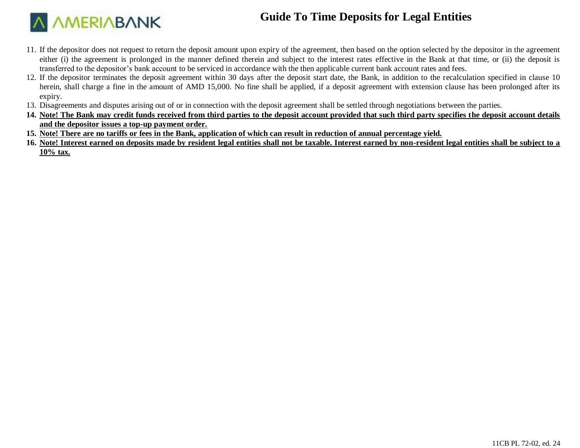

- 11. If the depositor does not request to return the deposit amount upon expiry of the agreement, then based on the option selected by the depositor in the agreement either (i) the agreement is prolonged in the manner defined therein and subject to the interest rates effective in the Bank at that time, or (ii) the deposit is transferred to the depositor's bank account to be serviced in accordance with the then applicable current bank account rates and fees.
- 12. If the depositor terminates the deposit agreement within 30 days after the deposit start date, the Bank, in addition to the recalculation specified in clause 10 herein, shall charge a fine in the amount of AMD 15,000. No fine shall be applied, if a deposit agreement with extension clause has been prolonged after its expiry.
- 13. Disagreements and disputes arising out of or in connection with the deposit agreement shall be settled through negotiations between the parties.
- **14. Note! The Bank may credit funds received from third parties to the deposit account provided that such third party specifies the deposit account details and the depositor issues a top-up payment order.**
- **15. Note! There are no tariffs or fees in the Bank, application of which can result in reduction of annual percentage yield.**
- **16. Note! Interest earned on deposits made by resident legal entities shall not be taxable. Interest earned by non-resident legal entities shall be subject to a 10% tax.**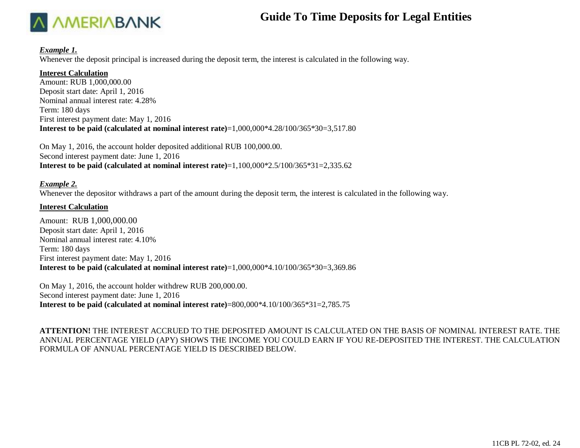

#### *Example 1.*

Whenever the deposit principal is increased during the deposit term, the interest is calculated in the following way.

### **Interest Calculation**

Amount: RUB 1,000,000.00 Deposit start date: April 1, 2016 Nominal annual interest rate: 4.28% Term: 180 days First interest payment date: May 1, 2016 **Interest to be paid (calculated at nominal interest rate)**=1,000,000\*4.28/100/365\*30=3,517.80

On May 1, 2016, the account holder deposited additional RUB 100,000.00. Second interest payment date: June 1, 2016 **Interest to be paid (calculated at nominal interest rate)**=1,100,000\*2.5/100/365\*31=2,335.62

### *Example 2.*

Whenever the depositor withdraws a part of the amount during the deposit term, the interest is calculated in the following way.

### **Interest Calculation**

Amount: RUB 1,000,000.00 Deposit start date: April 1, 2016 Nominal annual interest rate: 4.10% Term: 180 days First interest payment date: May 1, 2016 **Interest to be paid (calculated at nominal interest rate)**=1,000,000\*4.10/100/365\*30=3,369.86

On May 1, 2016, the account holder withdrew RUB 200,000.00. Second interest payment date: June 1, 2016 **Interest to be paid (calculated at nominal interest rate)**=800,000\*4.10/100/365\*31=2,785.75

**ATTENTION!** THE INTEREST ACCRUED TO THE DEPOSITED AMOUNT IS CALCULATED ON THE BASIS OF NOMINAL INTEREST RATE. THE ANNUAL PERCENTAGE YIELD (APY) SHOWS THE INCOME YOU COULD EARN IF YOU RE-DEPOSITED THE INTEREST. THE CALCULATION FORMULA OF ANNUAL PERCENTAGE YIELD IS DESCRIBED BELOW.